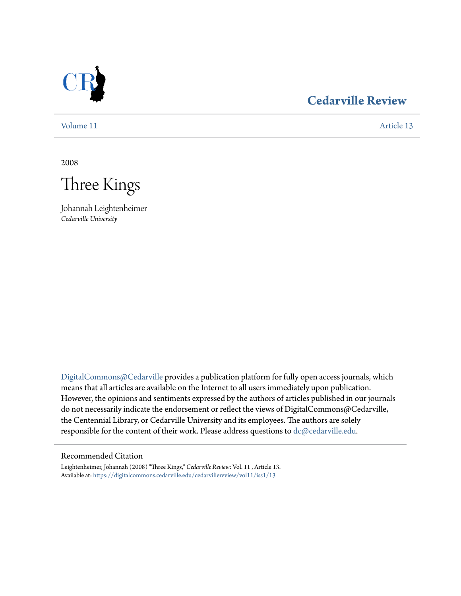

## **[Cedarville Review](https://digitalcommons.cedarville.edu/cedarvillereview?utm_source=digitalcommons.cedarville.edu%2Fcedarvillereview%2Fvol11%2Fiss1%2F13&utm_medium=PDF&utm_campaign=PDFCoverPages)**

[Volume 11](https://digitalcommons.cedarville.edu/cedarvillereview/vol11?utm_source=digitalcommons.cedarville.edu%2Fcedarvillereview%2Fvol11%2Fiss1%2F13&utm_medium=PDF&utm_campaign=PDFCoverPages) [Article 13](https://digitalcommons.cedarville.edu/cedarvillereview/vol11/iss1/13?utm_source=digitalcommons.cedarville.edu%2Fcedarvillereview%2Fvol11%2Fiss1%2F13&utm_medium=PDF&utm_campaign=PDFCoverPages)

2008



Johannah Leightenheimer *Cedarville University*

[DigitalCommons@Cedarville](http://digitalcommons.cedarville.edu) provides a publication platform for fully open access journals, which means that all articles are available on the Internet to all users immediately upon publication. However, the opinions and sentiments expressed by the authors of articles published in our journals do not necessarily indicate the endorsement or reflect the views of DigitalCommons@Cedarville, the Centennial Library, or Cedarville University and its employees. The authors are solely responsible for the content of their work. Please address questions to [dc@cedarville.edu](mailto:dc@cedarville.edu).

#### Recommended Citation

Leightenheimer, Johannah (2008) "Three Kings," *Cedarville Review*: Vol. 11 , Article 13. Available at: [https://digitalcommons.cedarville.edu/cedarvillereview/vol11/iss1/13](https://digitalcommons.cedarville.edu/cedarvillereview/vol11/iss1/13?utm_source=digitalcommons.cedarville.edu%2Fcedarvillereview%2Fvol11%2Fiss1%2F13&utm_medium=PDF&utm_campaign=PDFCoverPages)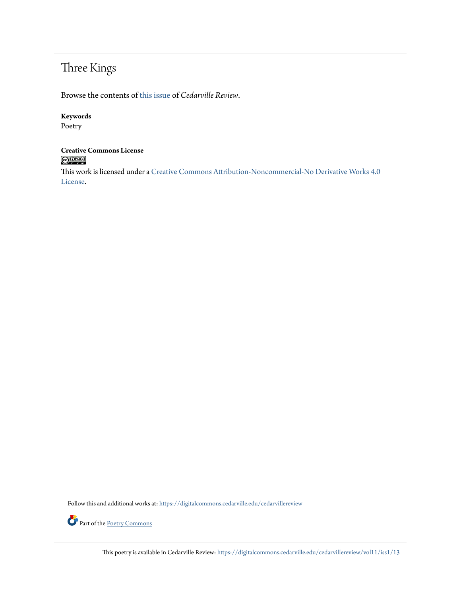# Three Kings

Browse the contents of [this issue](https://digitalcommons.cedarville.edu/cedarvillereview/vol11/iss1) of *Cedarville Review*.

#### **Keywords**

Poetry

#### **Creative Commons License**  $\bigcirc$  000

This work is licensed under a [Creative Commons Attribution-Noncommercial-No Derivative Works 4.0](http://creativecommons.org/licenses/by-nc-nd/4.0/) [License.](http://creativecommons.org/licenses/by-nc-nd/4.0/)

Follow this and additional works at: [https://digitalcommons.cedarville.edu/cedarvillereview](https://digitalcommons.cedarville.edu/cedarvillereview?utm_source=digitalcommons.cedarville.edu%2Fcedarvillereview%2Fvol11%2Fiss1%2F13&utm_medium=PDF&utm_campaign=PDFCoverPages)



Part of the <u>[Poetry Commons](http://network.bepress.com/hgg/discipline/1153?utm_source=digitalcommons.cedarville.edu%2Fcedarvillereview%2Fvol11%2Fiss1%2F13&utm_medium=PDF&utm_campaign=PDFCoverPages)</u>

This poetry is available in Cedarville Review: [https://digitalcommons.cedarville.edu/cedarvillereview/vol11/iss1/13](https://digitalcommons.cedarville.edu/cedarvillereview/vol11/iss1/13?utm_source=digitalcommons.cedarville.edu%2Fcedarvillereview%2Fvol11%2Fiss1%2F13&utm_medium=PDF&utm_campaign=PDFCoverPages)